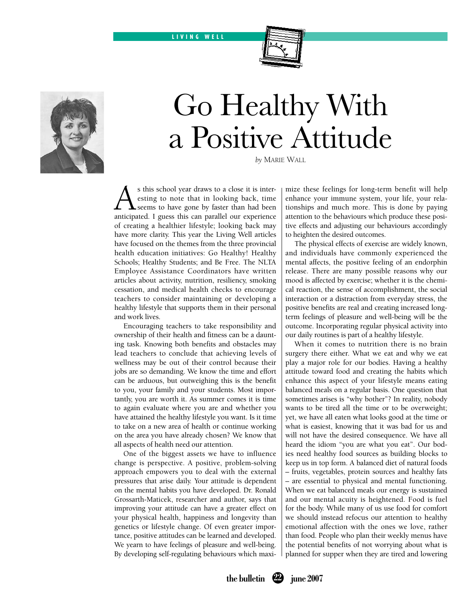LIVING WELL



## Go Healthy With a Positive Attitude

*by* Marie Wall

s this school year draws to a close it is interesting to note that in looking back, time  $\blacktriangle$  seems to have gone by faster than had been anticipated. I guess this can parallel our experience of creating a healthier lifestyle; looking back may have more clarity. This year the Living Well articles have focused on the themes from the three provincial health education initiatives: Go Healthy! Healthy Schools; Healthy Students; and Be Free. The NLTA Employee Assistance Coordinators have written articles about activity, nutrition, resiliency, smoking cessation, and medical health checks to encourage teachers to consider maintaining or developing a healthy lifestyle that supports them in their personal and work lives.

Encouraging teachers to take responsibility and ownership of their health and fitness can be a daunting task. Knowing both benefits and obstacles may lead teachers to conclude that achieving levels of wellness may be out of their control because their jobs are so demanding. We know the time and effort can be arduous, but outweighing this is the benefit to you, your family and your students. Most importantly, you are worth it. As summer comes it is time to again evaluate where you are and whether you have attained the healthy lifestyle you want. Is it time to take on a new area of health or continue working on the area you have already chosen? We know that all aspects of health need our attention.

One of the biggest assets we have to influence change is perspective. A positive, problem-solving approach empowers you to deal with the external pressures that arise daily. Your attitude is dependent on the mental habits you have developed. Dr. Ronald Grossarth-Maticek, researcher and author, says that improving your attitude can have a greater effect on your physical health, happiness and longevity than genetics or lifestyle change. Of even greater importance, positive attitudes can be learned and developed. We yearn to have feelings of pleasure and well-being. By developing self-regulating behaviours which maximize these feelings for long-term benefit will help enhance your immune system, your life, your relationships and much more. This is done by paying attention to the behaviours which produce these positive effects and adjusting our behaviours accordingly to heighten the desired outcomes.

The physical effects of exercise are widely known, and individuals have commonly experienced the mental affects, the positive feeling of an endorphin release. There are many possible reasons why our mood is affected by exercise; whether it is the chemical reaction, the sense of accomplishment, the social interaction or a distraction from everyday stress, the positive benefits are real and creating increased longterm feelings of pleasure and well-being will be the outcome. Incorporating regular physical activity into our daily routines is part of a healthy lifestyle.

When it comes to nutrition there is no brain surgery there either. What we eat and why we eat play a major role for our bodies. Having a healthy attitude toward food and creating the habits which enhance this aspect of your lifestyle means eating balanced meals on a regular basis. One question that sometimes arises is "why bother"? In reality, nobody wants to be tired all the time or to be overweight; yet, we have all eaten what looks good at the time or what is easiest, knowing that it was bad for us and will not have the desired consequence. We have all heard the idiom "you are what you eat". Our bodies need healthy food sources as building blocks to keep us in top form. A balanced diet of natural foods – fruits, vegetables, protein sources and healthy fats – are essential to physical and mental functioning. When we eat balanced meals our energy is sustained and our mental acuity is heightened. Food is fuel for the body. While many of us use food for comfort we should instead refocus our attention to healthy emotional affection with the ones we love, rather than food. People who plan their weekly menus have the potential benefits of not worrying about what is planned for supper when they are tired and lowering